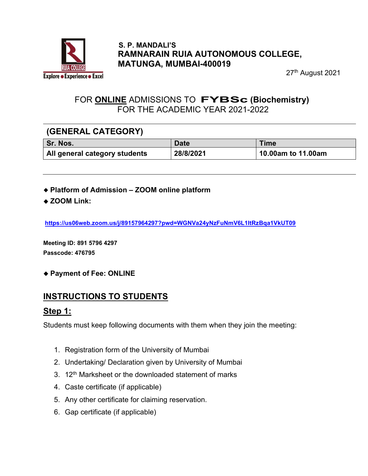

#### S. P. MANDALI'S RAMNARAIN RUIA AUTONOMOUS COLLEGE, MATUNGA, MUMBAI-400019

27th August 2021

### FOR ONLINE ADMISSIONS TO FYBSc (Biochemistry) FOR THE ACADEMIC YEAR 2021-2022

### (GENERAL CATEGORY)

| Sr. Nos.                      | <b>Date</b> | Time               |
|-------------------------------|-------------|--------------------|
| All general category students | 28/8/2021   | 10.00am to 11.00am |

- Platform of Admission ZOOM online platform
- ◆ ZOOM Link:

https://us06web.zoom.us/j/89157964297?pwd=WGNVa24yNzFuNmV6L1ltRzBqa1VkUT09

Meeting ID: 891 5796 4297 Passcode: 476795

◆ Payment of Fee: ONLINE

## INSTRUCTIONS TO STUDENTS

#### Step 1:

Students must keep following documents with them when they join the meeting:

- 1. Registration form of the University of Mumbai
- 2. Undertaking/ Declaration given by University of Mumbai
- 3.  $12<sup>th</sup>$  Marksheet or the downloaded statement of marks
- 4. Caste certificate (if applicable)
- 5. Any other certificate for claiming reservation.
- 6. Gap certificate (if applicable)